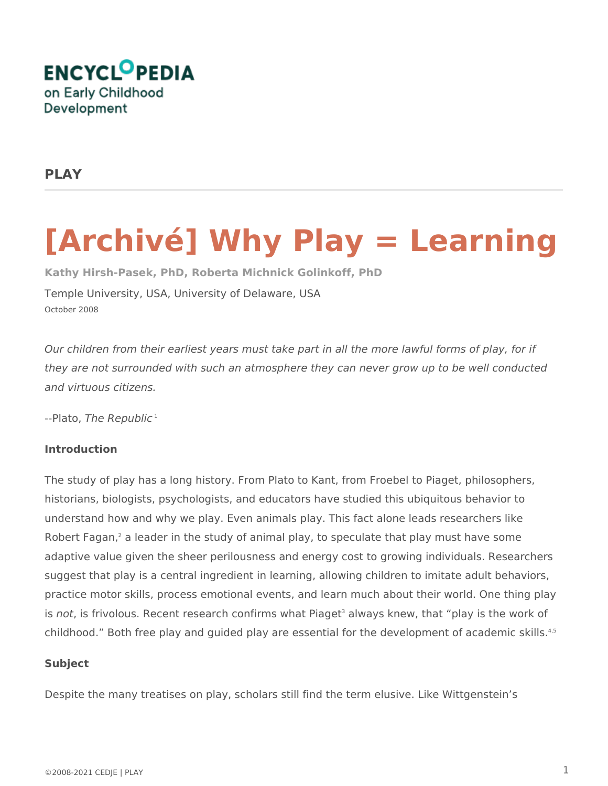

# **PLAY**

# **[Archivé] Why Play = Learning**

**Kathy Hirsh-Pasek, PhD, Roberta Michnick Golinkoff, PhD** Temple University, USA, University of Delaware, USA October 2008

*Our children from their earliest years must take part in all the more lawful forms of play, for if they are not surrounded with such an atmosphere they can never grow up to be well conducted and virtuous citizens.* 

--Plato, *The Republic*<sup>1</sup>

## **Introduction**

The study of play has a long history. From Plato to Kant, from Froebel to Piaget, philosophers, historians, biologists, psychologists, and educators have studied this ubiquitous behavior to understand how and why we play. Even animals play. This fact alone leads researchers like Robert Fagan,<sup>2</sup> a leader in the study of animal play, to speculate that play must have some adaptive value given the sheer perilousness and energy cost to growing individuals. Researchers suggest that play is a central ingredient in learning, allowing children to imitate adult behaviors, practice motor skills, process emotional events, and learn much about their world. One thing play is *not*, is frivolous. Recent research confirms what Piaget<sup>3</sup> always knew, that "play is the work of childhood." Both free play and guided play are essential for the development of academic skills.<sup>4,5</sup>

#### **Subject**

Despite the many treatises on play, scholars still find the term elusive. Like Wittgenstein's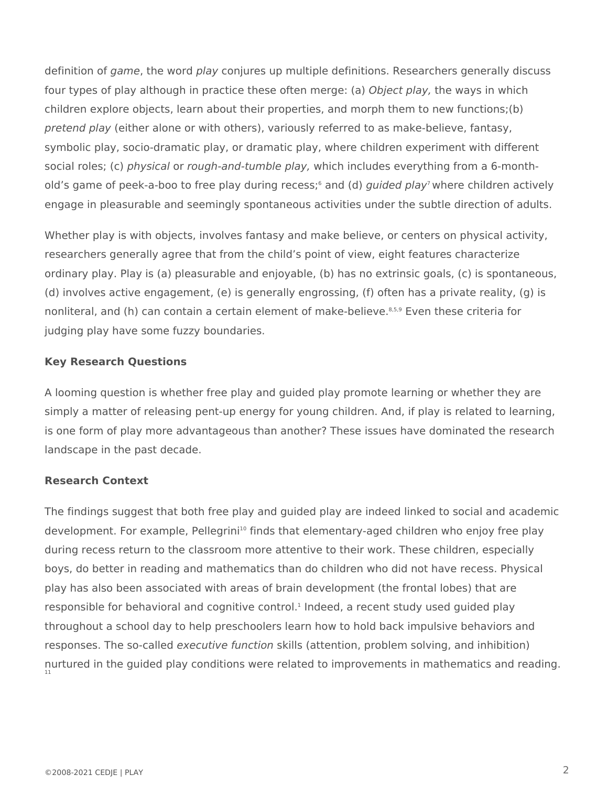definition of *game*, the word *play* conjures up multiple definitions. Researchers generally discuss four types of play although in practice these often merge: (a) *Object play,* the ways in which children explore objects, learn about their properties, and morph them to new functions;(b) *pretend play* (either alone or with others), variously referred to as make-believe, fantasy, symbolic play, socio-dramatic play, or dramatic play, where children experiment with different social roles; (c) *physical* or *rough-and-tumble play,* which includes everything from a 6-monthold's game of peek-a-boo to free play during recess;<sup>6</sup> and (d) *guided play*<sup>7</sup> where children actively engage in pleasurable and seemingly spontaneous activities under the subtle direction of adults.

Whether play is with objects, involves fantasy and make believe, or centers on physical activity, researchers generally agree that from the child's point of view, eight features characterize ordinary play. Play is (a) pleasurable and enjoyable, (b) has no extrinsic goals, (c) is spontaneous, (d) involves active engagement, (e) is generally engrossing, (f) often has a private reality, (g) is nonliteral, and (h) can contain a certain element of make-believe.<sup>8,5,9</sup> Even these criteria for judging play have some fuzzy boundaries.

### **Key Research Questions**

A looming question is whether free play and guided play promote learning or whether they are simply a matter of releasing pent-up energy for young children. And, if play is related to learning, is one form of play more advantageous than another? These issues have dominated the research landscape in the past decade.

#### **Research Context**

The findings suggest that both free play and guided play are indeed linked to social and academic development. For example, Pellegrini<sup>10</sup> finds that elementary-aged children who enjoy free play during recess return to the classroom more attentive to their work. These children, especially boys, do better in reading and mathematics than do children who did not have recess. Physical play has also been associated with areas of brain development (the frontal lobes) that are responsible for behavioral and cognitive control.<sup>1</sup> Indeed, a recent study used guided play throughout a school day to help preschoolers learn how to hold back impulsive behaviors and responses. The so-called *executive function* skills (attention, problem solving, and inhibition) nurtured in the guided play conditions were related to improvements in mathematics and reading. 11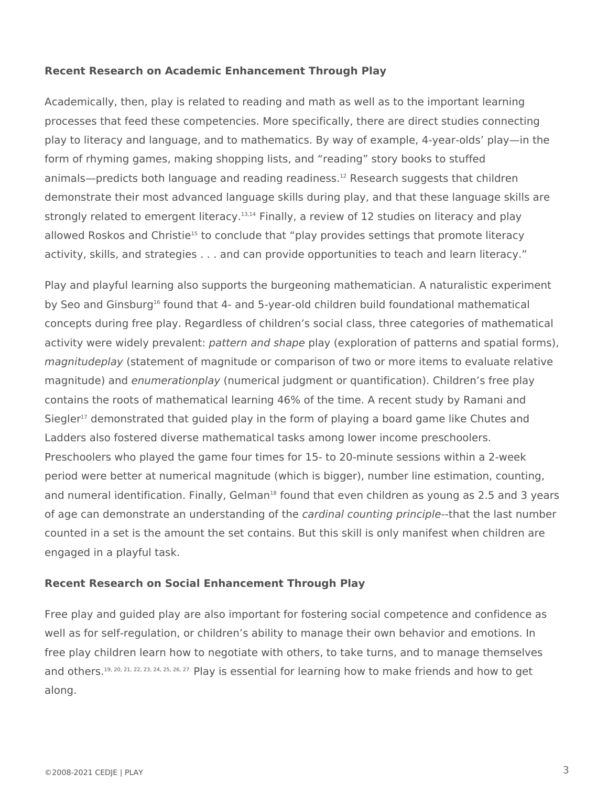#### **Recent Research on Academic Enhancement Through Play**

Academically, then, play is related to reading and math as well as to the important learning processes that feed these competencies. More specifically, there are direct studies connecting play to literacy and language, and to mathematics. By way of example, 4-year-olds' play—in the form of rhyming games, making shopping lists, and "reading" story books to stuffed animals—predicts both language and reading readiness.<sup>12</sup> Research suggests that children demonstrate their most advanced language skills during play, and that these language skills are strongly related to emergent literacy.<sup>13,14</sup> Finally, a review of 12 studies on literacy and play allowed Roskos and Christie<sup>15</sup> to conclude that "play provides settings that promote literacy activity, skills, and strategies . . . and can provide opportunities to teach and learn literacy."

Play and playful learning also supports the burgeoning mathematician. A naturalistic experiment by Seo and Ginsburg<sup>16</sup> found that 4- and 5-year-old children build foundational mathematical concepts during free play. Regardless of children's social class, three categories of mathematical activity were widely prevalent: *pattern and shape* play (exploration of patterns and spatial forms), *magnitudeplay* (statement of magnitude or comparison of two or more items to evaluate relative magnitude) and *enumerationplay* (numerical judgment or quantification). Children's free play contains the roots of mathematical learning 46% of the time. A recent study by Ramani and Siegler<sup>17</sup> demonstrated that guided play in the form of playing a board game like Chutes and Ladders also fostered diverse mathematical tasks among lower income preschoolers. Preschoolers who played the game four times for 15- to 20-minute sessions within a 2-week period were better at numerical magnitude (which is bigger), number line estimation, counting, and numeral identification. Finally, Gelman<sup>18</sup> found that even children as young as 2.5 and 3 years of age can demonstrate an understanding of the *cardinal counting principle*--that the last number counted in a set is the amount the set contains. But this skill is only manifest when children are engaged in a playful task.

#### **Recent Research on Social Enhancement Through Play**

Free play and guided play are also important for fostering social competence and confidence as well as for self-regulation, or children's ability to manage their own behavior and emotions. In free play children learn how to negotiate with others, to take turns, and to manage themselves and others.<sup>19, 20, 21, 22, 23, 24, 25, 26, 27</sup> Play is essential for learning how to make friends and how to get along.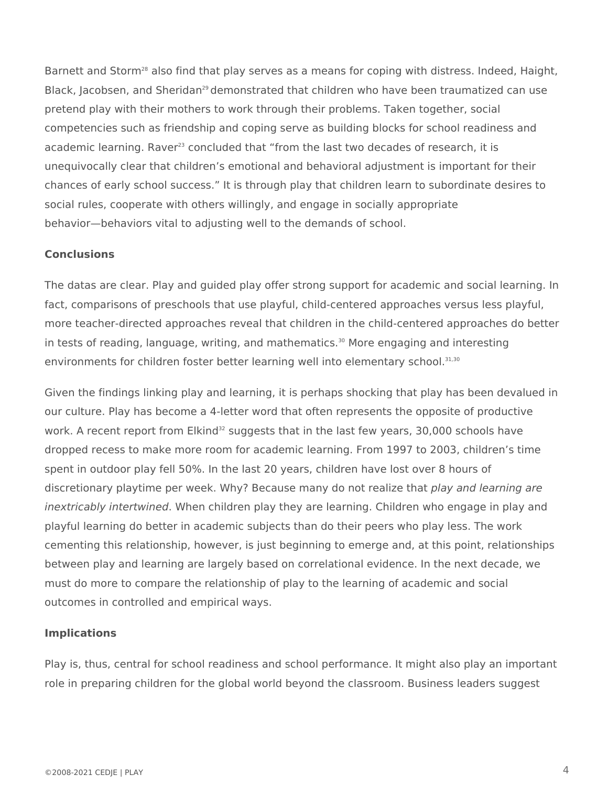Barnett and Storm<sup>28</sup> also find that play serves as a means for coping with distress. Indeed, Haight, Black, Jacobsen, and Sheridan<sup>29</sup> demonstrated that children who have been traumatized can use pretend play with their mothers to work through their problems. Taken together, social competencies such as friendship and coping serve as building blocks for school readiness and academic learning. Raver<sup>23</sup> concluded that "from the last two decades of research, it is unequivocally clear that children's emotional and behavioral adjustment is important for their chances of early school success." It is through play that children learn to subordinate desires to social rules, cooperate with others willingly, and engage in socially appropriate behavior—behaviors vital to adjusting well to the demands of school.

### **Conclusions**

The datas are clear. Play and guided play offer strong support for academic and social learning. In fact, comparisons of preschools that use playful, child-centered approaches versus less playful, more teacher-directed approaches reveal that children in the child-centered approaches do better in tests of reading, language, writing, and mathematics.<sup>30</sup> More engaging and interesting environments for children foster better learning well into elementary school.<sup>31,30</sup>

Given the findings linking play and learning, it is perhaps shocking that play has been devalued in our culture. Play has become a 4-letter word that often represents the opposite of productive work. A recent report from Elkind<sup>32</sup> suggests that in the last few years, 30,000 schools have dropped recess to make more room for academic learning. From 1997 to 2003, children's time spent in outdoor play fell 50%. In the last 20 years, children have lost over 8 hours of discretionary playtime per week. Why? Because many do not realize that *play and learning are inextricably intertwined*. When children play they are learning. Children who engage in play and playful learning do better in academic subjects than do their peers who play less. The work cementing this relationship, however, is just beginning to emerge and, at this point, relationships between play and learning are largely based on correlational evidence. In the next decade, we must do more to compare the relationship of play to the learning of academic and social outcomes in controlled and empirical ways.

#### **Implications**

Play is, thus, central for school readiness and school performance. It might also play an important role in preparing children for the global world beyond the classroom. Business leaders suggest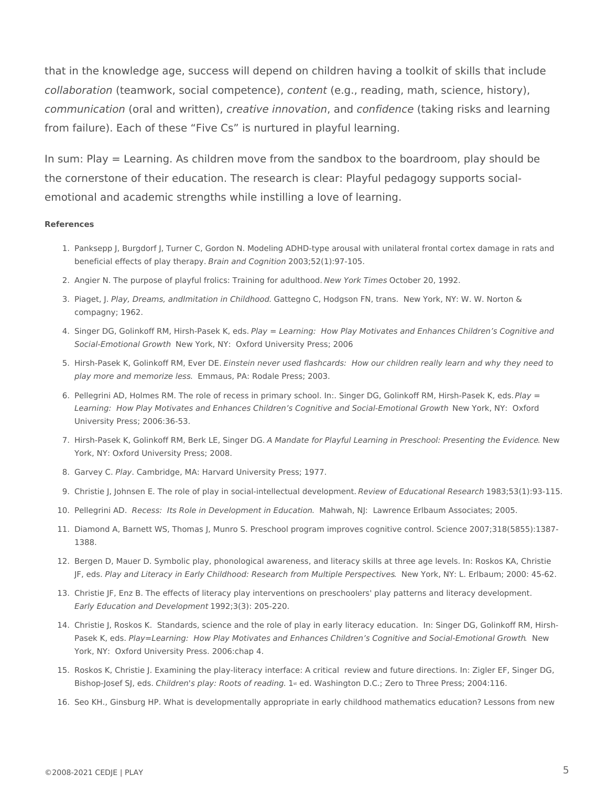that in the knowledge age, success will depend on children having a toolkit of skills that include *collaboration* (teamwork, social competence), *content* (e.g., reading, math, science, history), *communication* (oral and written), *creative innovation*, and *confidence* (taking risks and learning from failure). Each of these "Five Cs" is nurtured in playful learning.

In sum: Play = Learning. As children move from the sandbox to the boardroom, play should be the cornerstone of their education. The research is clear: Playful pedagogy supports socialemotional and academic strengths while instilling a love of learning.

#### **References**

- 1. Panksepp J, Burgdorf J, Turner C, Gordon N. Modeling ADHD-type arousal with unilateral frontal cortex damage in rats and beneficial effects of play therapy. *Brain and Cognition* 2003;52(1):97-105.
- 2. Angier N. The purpose of playful frolics: Training for adulthood. *New York Times* October 20, 1992.
- 3. Piaget, J. Play, Dreams, andImitation in Childhood. Gattegno C, Hodgson FN, trans. New York, NY: W. W. Norton & compagny; 1962.
- 4. Singer DG, Golinkoff RM, Hirsh-Pasek K, eds. *Play = Learning: How Play Motivates and Enhances Children's Cognitive and*  Social-Emotional Growth New York, NY: Oxford University Press; 2006
- 5. Hirsh-Pasek K, Golinkoff RM, Ever DE. *Einstein never used flashcards: How our children really learn and why they need to* play more and memorize less. Emmaus, PA: Rodale Press; 2003.
- 6. Pellegrini AD, Holmes RM. The role of recess in primary school. In:. Singer DG, Golinkoff RM, Hirsh-Pasek K, eds. *Play =*  Learning: How Play Motivates and Enhances Children's Cognitive and Social-Emotional Growth New York, NY: Oxford University Press; 2006:36-53.
- 7. Hirsh-Pasek K, Golinkoff RM, Berk LE, Singer DG. A Mandate for Playful Learning in Preschool: Presenting the Evidence. New York, NY: Oxford University Press; 2008.
- 8. Garvey C. *Play*. Cambridge, MA: Harvard University Press; 1977.
- 9. Christie J, Johnsen E. The role of play in social-intellectual development. *Review of Educational Research* 1983;53(1):93-115.
- 10. Pellegrini AD. *Recess: Its Role in Development in Education*. Mahwah, NJ: Lawrence Erlbaum Associates; 2005.
- 11. Diamond A, Barnett WS, Thomas J, Munro S. Preschool program improves cognitive control. Science 2007;318(5855):1387- 1388.
- 12. Bergen D, Mauer D. Symbolic play, phonological awareness, and literacy skills at three age levels. In: Roskos KA, Christie JF, eds. *Play and Literacy in Early Childhood: Research from Multiple Perspectives*. New York, NY: L. Erlbaum; 2000: 45-62.
- 13. Christie JF, Enz B. The effects of literacy play interventions on preschoolers' play patterns and literacy development. *Early Education and Development* 1992;3(3): 205-220.
- 14. Christie J, Roskos K. Standards, science and the role of play in early literacy education. In: Singer DG, Golinkoff RM, Hirsh-Pasek K, eds. Play=Learning: How Play Motivates and Enhances Children's Cognitive and Social-Emotional Growth. New York, NY: Oxford University Press. 2006:chap 4.
- 15. Roskos K, Christie J. Examining the play-literacy interface: A critical review and future directions. In: Zigler EF, Singer DG, Bishop-Josef SJ, eds. *Children's play: Roots of reading*. 1st ed. Washington D.C.; Zero to Three Press; 2004:116.
- 16. Seo KH., Ginsburg HP. What is developmentally appropriate in early childhood mathematics education? Lessons from new